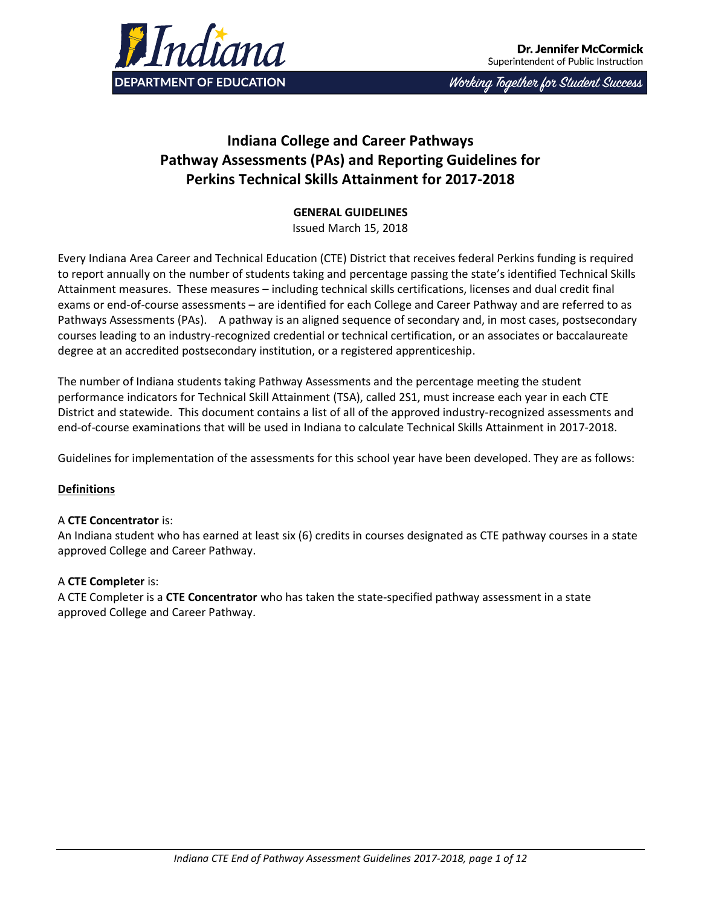

# **Indiana College and Career Pathways Pathway Assessments (PAs) and Reporting Guidelines for Perkins Technical Skills Attainment for 2017-2018**

# **GENERAL GUIDELINES**

Issued March 15, 2018

Every Indiana Area Career and Technical Education (CTE) District that receives federal Perkins funding is required to report annually on the number of students taking and percentage passing the state's identified Technical Skills Attainment measures. These measures – including technical skills certifications, licenses and dual credit final exams or end-of-course assessments – are identified for each College and Career Pathway and are referred to as Pathways Assessments (PAs). A pathway is an aligned sequence of secondary and, in most cases, postsecondary courses leading to an industry-recognized credential or technical certification, or an associates or baccalaureate degree at an accredited postsecondary institution, or a registered apprenticeship.

The number of Indiana students taking Pathway Assessments and the percentage meeting the student performance indicators for Technical Skill Attainment (TSA), called 2S1, must increase each year in each CTE District and statewide. This document contains a list of all of the approved industry-recognized assessments and end-of-course examinations that will be used in Indiana to calculate Technical Skills Attainment in 2017-2018.

Guidelines for implementation of the assessments for this school year have been developed. They are as follows:

#### **Definitions**

#### A **CTE Concentrator** is:

An Indiana student who has earned at least six (6) credits in courses designated as CTE pathway courses in a state approved College and Career Pathway.

#### A **CTE Completer** is:

A CTE Completer is a **CTE Concentrator** who has taken the state-specified pathway assessment in a state approved College and Career Pathway.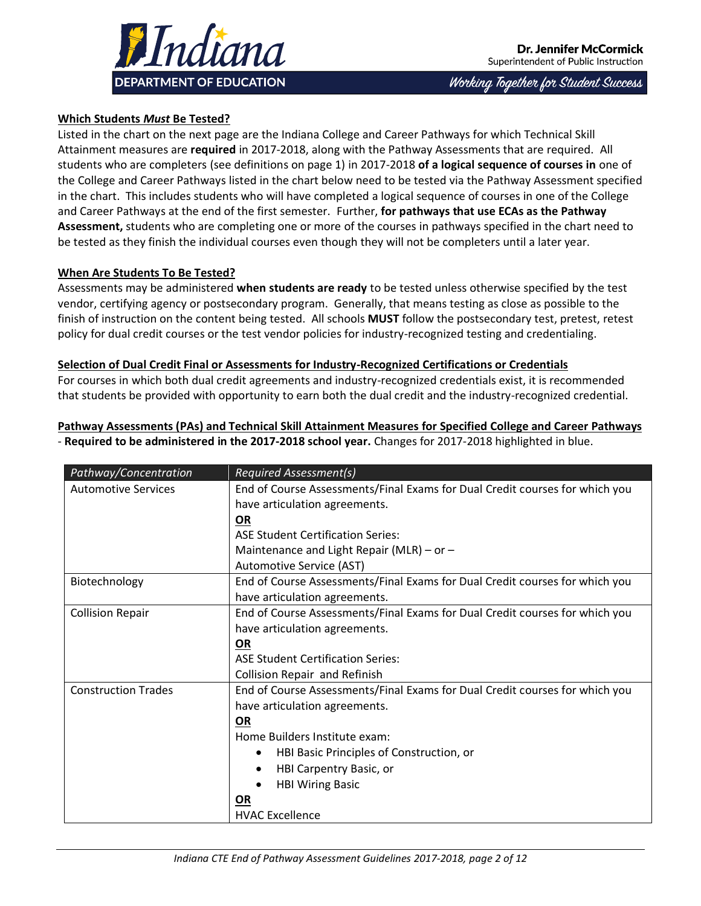

#### **Which Students** *Must* **Be Tested?**

Listed in the chart on the next page are the Indiana College and Career Pathways for which Technical Skill Attainment measures are **required** in 2017-2018, along with the Pathway Assessments that are required. All students who are completers (see definitions on page 1) in 2017-2018 **of a logical sequence of courses in** one of the College and Career Pathways listed in the chart below need to be tested via the Pathway Assessment specified in the chart. This includes students who will have completed a logical sequence of courses in one of the College and Career Pathways at the end of the first semester. Further, **for pathways that use ECAs as the Pathway Assessment,** students who are completing one or more of the courses in pathways specified in the chart need to be tested as they finish the individual courses even though they will not be completers until a later year.

#### **When Are Students To Be Tested?**

Assessments may be administered **when students are ready** to be tested unless otherwise specified by the test vendor, certifying agency or postsecondary program. Generally, that means testing as close as possible to the finish of instruction on the content being tested. All schools **MUST** follow the postsecondary test, pretest, retest policy for dual credit courses or the test vendor policies for industry-recognized testing and credentialing.

#### **Selection of Dual Credit Final or Assessments for Industry-Recognized Certifications or Credentials**

For courses in which both dual credit agreements and industry-recognized credentials exist, it is recommended that students be provided with opportunity to earn both the dual credit and the industry-recognized credential.

| Pathway/Concentration      | <b>Required Assessment(s)</b>                                               |
|----------------------------|-----------------------------------------------------------------------------|
| <b>Automotive Services</b> | End of Course Assessments/Final Exams for Dual Credit courses for which you |
|                            | have articulation agreements.                                               |
|                            | <b>OR</b>                                                                   |
|                            | <b>ASE Student Certification Series:</b>                                    |
|                            | Maintenance and Light Repair (MLR) – or –                                   |
|                            | Automotive Service (AST)                                                    |
| Biotechnology              | End of Course Assessments/Final Exams for Dual Credit courses for which you |
|                            | have articulation agreements.                                               |
| <b>Collision Repair</b>    | End of Course Assessments/Final Exams for Dual Credit courses for which you |
|                            | have articulation agreements.                                               |
|                            | <b>OR</b>                                                                   |
|                            | <b>ASE Student Certification Series:</b>                                    |
|                            | Collision Repair and Refinish                                               |
| <b>Construction Trades</b> | End of Course Assessments/Final Exams for Dual Credit courses for which you |
|                            | have articulation agreements.                                               |
|                            | OR                                                                          |
|                            | Home Builders Institute exam:                                               |
|                            | HBI Basic Principles of Construction, or                                    |
|                            | HBI Carpentry Basic, or                                                     |
|                            | <b>HBI Wiring Basic</b>                                                     |
|                            | <b>OR</b>                                                                   |
|                            | <b>HVAC Excellence</b>                                                      |

**Pathway Assessments (PAs) and Technical Skill Attainment Measures for Specified College and Career Pathways** - **Required to be administered in the 2017-2018 school year.** Changes for 2017-2018 highlighted in blue.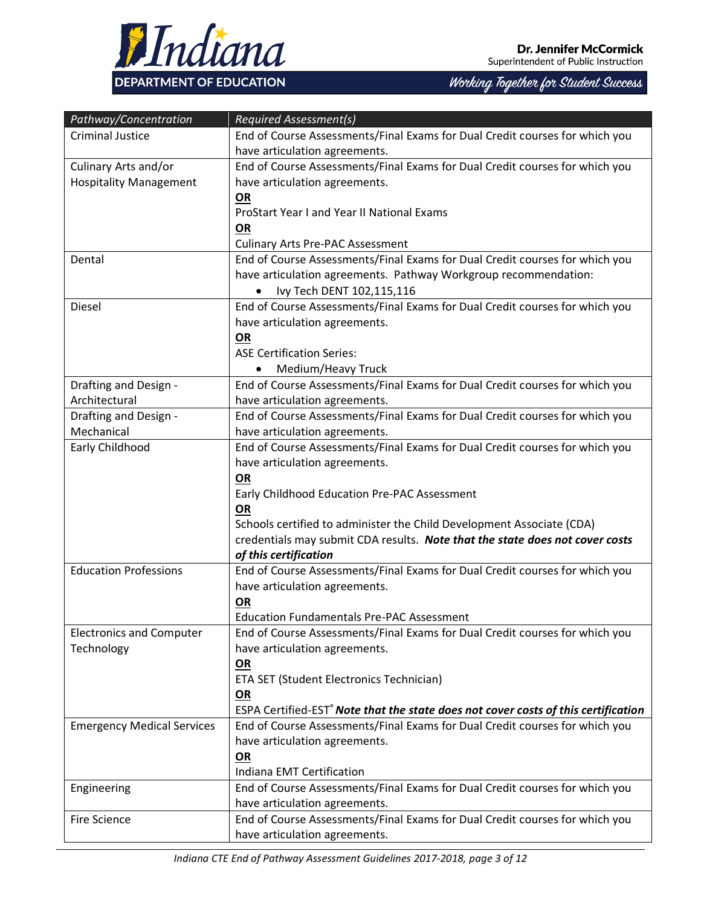

| Pathway/Concentration             | <b>Required Assessment(s)</b>                                                                  |
|-----------------------------------|------------------------------------------------------------------------------------------------|
| <b>Criminal Justice</b>           | End of Course Assessments/Final Exams for Dual Credit courses for which you                    |
|                                   | have articulation agreements.                                                                  |
| Culinary Arts and/or              | End of Course Assessments/Final Exams for Dual Credit courses for which you                    |
| <b>Hospitality Management</b>     | have articulation agreements.                                                                  |
|                                   | <b>OR</b>                                                                                      |
|                                   | ProStart Year I and Year II National Exams                                                     |
|                                   | <b>OR</b>                                                                                      |
|                                   | <b>Culinary Arts Pre-PAC Assessment</b>                                                        |
| Dental                            | End of Course Assessments/Final Exams for Dual Credit courses for which you                    |
|                                   | have articulation agreements. Pathway Workgroup recommendation:                                |
|                                   | Ivy Tech DENT 102,115,116                                                                      |
| Diesel                            | End of Course Assessments/Final Exams for Dual Credit courses for which you                    |
|                                   | have articulation agreements.                                                                  |
|                                   | <b>OR</b>                                                                                      |
|                                   | <b>ASE Certification Series:</b>                                                               |
|                                   | Medium/Heavy Truck                                                                             |
| Drafting and Design -             | End of Course Assessments/Final Exams for Dual Credit courses for which you                    |
| Architectural                     | have articulation agreements.                                                                  |
| Drafting and Design -             | End of Course Assessments/Final Exams for Dual Credit courses for which you                    |
| Mechanical                        | have articulation agreements.                                                                  |
| Early Childhood                   | End of Course Assessments/Final Exams for Dual Credit courses for which you                    |
|                                   | have articulation agreements.                                                                  |
|                                   | <b>OR</b>                                                                                      |
|                                   | Early Childhood Education Pre-PAC Assessment                                                   |
|                                   | <b>OR</b>                                                                                      |
|                                   | Schools certified to administer the Child Development Associate (CDA)                          |
|                                   | credentials may submit CDA results. Note that the state does not cover costs                   |
|                                   | of this certification                                                                          |
| <b>Education Professions</b>      | End of Course Assessments/Final Exams for Dual Credit courses for which you                    |
|                                   | have articulation agreements.                                                                  |
|                                   | <b>OR</b>                                                                                      |
|                                   | <b>Education Fundamentals Pre-PAC Assessment</b>                                               |
| <b>Electronics and Computer</b>   | End of Course Assessments/Final Exams for Dual Credit courses for which you                    |
| Technology                        | have articulation agreements.                                                                  |
|                                   | OR                                                                                             |
|                                   | ETA SET (Student Electronics Technician)                                                       |
|                                   | OR                                                                                             |
|                                   | ESPA Certified-EST <sup>®</sup> Note that the state does not cover costs of this certification |
| <b>Emergency Medical Services</b> | End of Course Assessments/Final Exams for Dual Credit courses for which you                    |
|                                   | have articulation agreements.                                                                  |
|                                   | <b>OR</b>                                                                                      |
|                                   | Indiana EMT Certification                                                                      |
| Engineering                       | End of Course Assessments/Final Exams for Dual Credit courses for which you                    |
|                                   | have articulation agreements.                                                                  |
| <b>Fire Science</b>               | End of Course Assessments/Final Exams for Dual Credit courses for which you                    |
|                                   | have articulation agreements.                                                                  |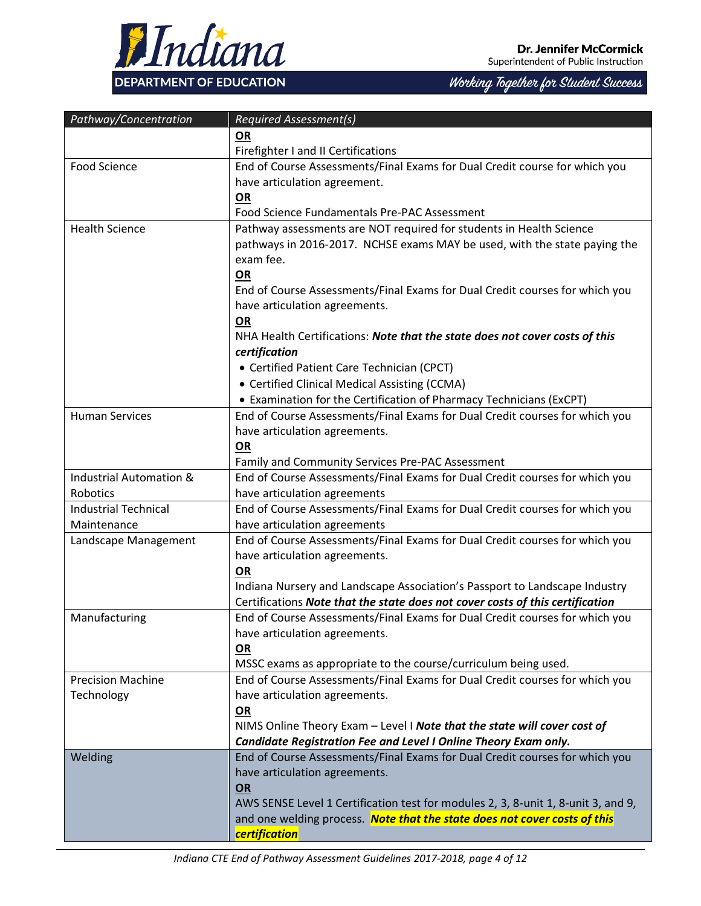

| Pathway/Concentration              | <b>Required Assessment(s)</b>                                                                                |
|------------------------------------|--------------------------------------------------------------------------------------------------------------|
|                                    | OR                                                                                                           |
|                                    | Firefighter I and II Certifications                                                                          |
| <b>Food Science</b>                | End of Course Assessments/Final Exams for Dual Credit course for which you                                   |
|                                    | have articulation agreement.                                                                                 |
|                                    | OR                                                                                                           |
|                                    | Food Science Fundamentals Pre-PAC Assessment                                                                 |
| <b>Health Science</b>              | Pathway assessments are NOT required for students in Health Science                                          |
|                                    | pathways in 2016-2017. NCHSE exams MAY be used, with the state paying the                                    |
|                                    | exam fee.                                                                                                    |
|                                    | OR                                                                                                           |
|                                    | End of Course Assessments/Final Exams for Dual Credit courses for which you                                  |
|                                    | have articulation agreements.                                                                                |
|                                    | OR                                                                                                           |
|                                    | NHA Health Certifications: Note that the state does not cover costs of this                                  |
|                                    | certification                                                                                                |
|                                    | • Certified Patient Care Technician (CPCT)                                                                   |
|                                    | • Certified Clinical Medical Assisting (CCMA)                                                                |
|                                    | • Examination for the Certification of Pharmacy Technicians (ExCPT)                                          |
| <b>Human Services</b>              | End of Course Assessments/Final Exams for Dual Credit courses for which you                                  |
|                                    | have articulation agreements.                                                                                |
|                                    | <b>OR</b>                                                                                                    |
|                                    | Family and Community Services Pre-PAC Assessment                                                             |
| <b>Industrial Automation &amp;</b> | End of Course Assessments/Final Exams for Dual Credit courses for which you                                  |
| Robotics                           | have articulation agreements                                                                                 |
| <b>Industrial Technical</b>        | End of Course Assessments/Final Exams for Dual Credit courses for which you                                  |
| Maintenance                        | have articulation agreements                                                                                 |
| Landscape Management               | End of Course Assessments/Final Exams for Dual Credit courses for which you                                  |
|                                    | have articulation agreements.                                                                                |
|                                    | OR                                                                                                           |
|                                    | Indiana Nursery and Landscape Association's Passport to Landscape Industry                                   |
|                                    | Certifications Note that the state does not cover costs of this certification                                |
| Manufacturing                      | End of Course Assessments/Final Exams for Dual Credit courses for which you                                  |
|                                    | have articulation agreements.                                                                                |
|                                    | <b>OR</b>                                                                                                    |
| <b>Precision Machine</b>           | MSSC exams as appropriate to the course/curriculum being used.                                               |
|                                    | End of Course Assessments/Final Exams for Dual Credit courses for which you<br>have articulation agreements. |
| Technology                         | OR                                                                                                           |
|                                    | NIMS Online Theory Exam - Level I Note that the state will cover cost of                                     |
|                                    | Candidate Registration Fee and Level I Online Theory Exam only.                                              |
| Welding                            | End of Course Assessments/Final Exams for Dual Credit courses for which you                                  |
|                                    | have articulation agreements.                                                                                |
|                                    | OR                                                                                                           |
|                                    | AWS SENSE Level 1 Certification test for modules 2, 3, 8-unit 1, 8-unit 3, and 9,                            |
|                                    | and one welding process. Note that the state does not cover costs of this                                    |
|                                    | certification                                                                                                |
|                                    |                                                                                                              |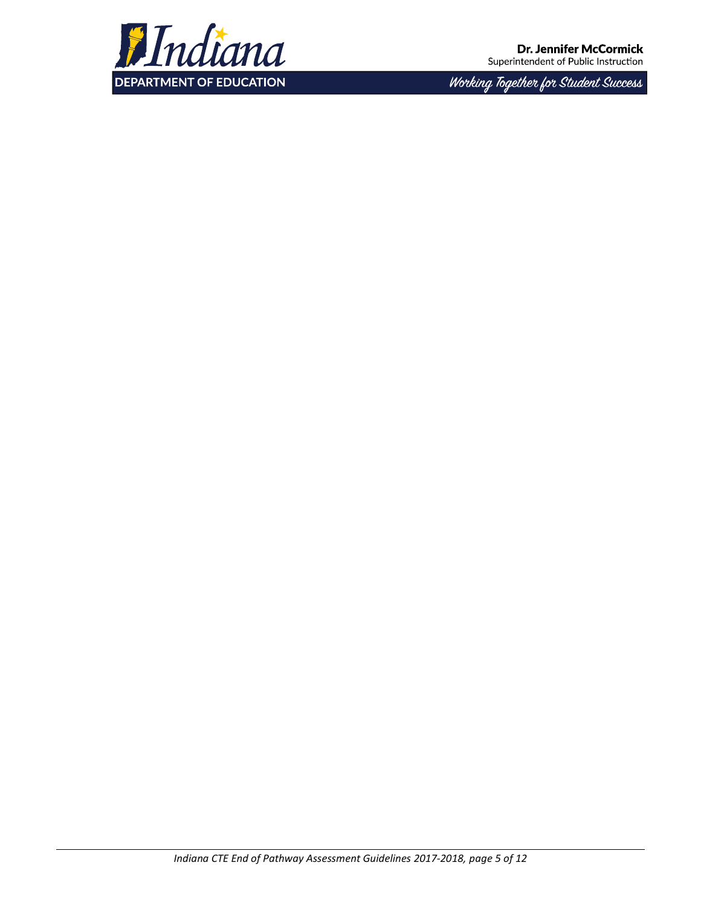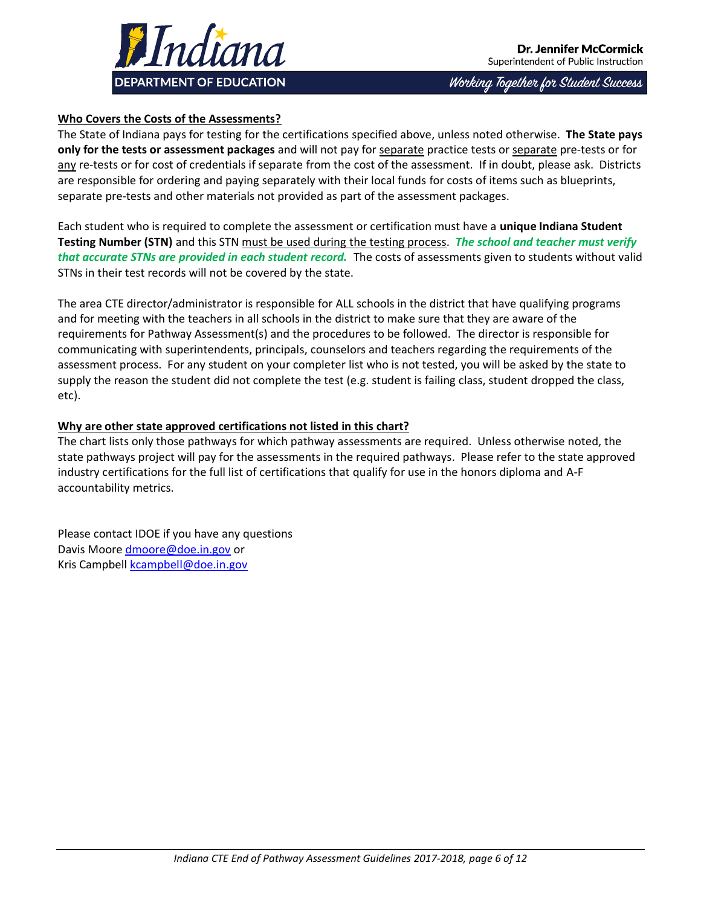

### **Who Covers the Costs of the Assessments?**

The State of Indiana pays for testing for the certifications specified above, unless noted otherwise. **The State pays only for the tests or assessment packages** and will not pay for separate practice tests or separate pre-tests or for any re-tests or for cost of credentials if separate from the cost of the assessment. If in doubt, please ask. Districts are responsible for ordering and paying separately with their local funds for costs of items such as blueprints, separate pre-tests and other materials not provided as part of the assessment packages.

Each student who is required to complete the assessment or certification must have a **unique Indiana Student Testing Number (STN)** and this STN must be used during the testing process. *The school and teacher must verify that accurate STNs are provided in each student record.* The costs of assessments given to students without valid STNs in their test records will not be covered by the state.

The area CTE director/administrator is responsible for ALL schools in the district that have qualifying programs and for meeting with the teachers in all schools in the district to make sure that they are aware of the requirements for Pathway Assessment(s) and the procedures to be followed. The director is responsible for communicating with superintendents, principals, counselors and teachers regarding the requirements of the assessment process. For any student on your completer list who is not tested, you will be asked by the state to supply the reason the student did not complete the test (e.g. student is failing class, student dropped the class, etc).

#### **Why are other state approved certifications not listed in this chart?**

The chart lists only those pathways for which pathway assessments are required. Unless otherwise noted, the state pathways project will pay for the assessments in the required pathways. Please refer to the state approved industry certifications for the full list of certifications that qualify for use in the honors diploma and A-F accountability metrics.

Please contact IDOE if you have any questions Davis Moore [dmoore@doe.in.gov](mailto:dmoore@doe.in.gov) or Kris Campbell [kcampbell@doe.in.gov](mailto:kcampbell@doe.in.gov)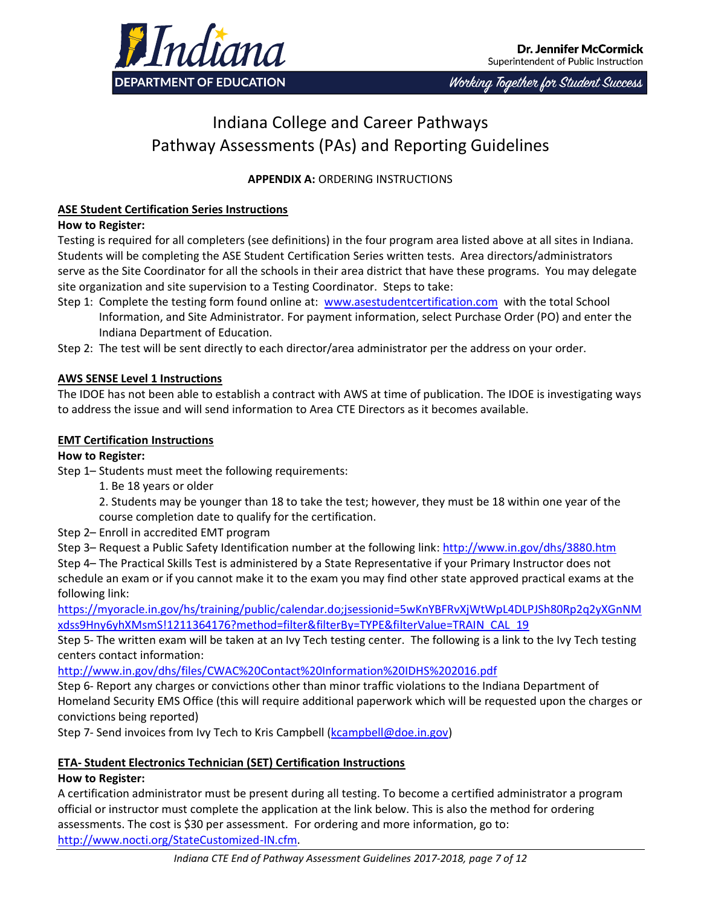

# Indiana College and Career Pathways Pathway Assessments (PAs) and Reporting Guidelines

# **APPENDIX A:** ORDERING INSTRUCTIONS

## **ASE Student Certification Series Instructions**

#### **How to Register:**

Testing is required for all completers (see definitions) in the four program area listed above at all sites in Indiana. Students will be completing the ASE Student Certification Series written tests. Area directors/administrators serve as the Site Coordinator for all the schools in their area district that have these programs. You may delegate site organization and site supervision to a Testing Coordinator. Steps to take:

Step 1: Complete the testing form found online at: [www.asestudentcertification.com](http://www.asestudentcertification.com/) with the total School Information, and Site Administrator. For payment information, select Purchase Order (PO) and enter the Indiana Department of Education.

Step 2: The test will be sent directly to each director/area administrator per the address on your order.

### **AWS SENSE Level 1 Instructions**

The IDOE has not been able to establish a contract with AWS at time of publication. The IDOE is investigating ways to address the issue and will send information to Area CTE Directors as it becomes available.

### **EMT Certification Instructions**

# **How to Register:**

Step 1– Students must meet the following requirements:

1. Be 18 years or older

2. Students may be younger than 18 to take the test; however, they must be 18 within one year of the course completion date to qualify for the certification.

- Step 2– Enroll in accredited EMT program
- Step 3– Request a Public Safety Identification number at the following link:<http://www.in.gov/dhs/3880.htm>

Step 4– The Practical Skills Test is administered by a State Representative if your Primary Instructor does not schedule an exam or if you cannot make it to the exam you may find other state approved practical exams at the following link:

[https://myoracle.in.gov/hs/training/public/calendar.do;jsessionid=5wKnYBFRvXjWtWpL4DLPJSh80Rp2q2yXGnNM](https://myoracle.in.gov/hs/training/public/calendar.do;jsessionid=5wKnYBFRvXjWtWpL4DLPJSh80Rp2q2yXGnNMxdss9Hny6yhXMsmS!1211364176?method=filter&filterBy=TYPE&filterValue=TRAIN_CAL_19) [xdss9Hny6yhXMsmS!1211364176?method=filter&filterBy=TYPE&filterValue=TRAIN\\_CAL\\_19](https://myoracle.in.gov/hs/training/public/calendar.do;jsessionid=5wKnYBFRvXjWtWpL4DLPJSh80Rp2q2yXGnNMxdss9Hny6yhXMsmS!1211364176?method=filter&filterBy=TYPE&filterValue=TRAIN_CAL_19)

Step 5- The written exam will be taken at an Ivy Tech testing center. The following is a link to the Ivy Tech testing centers contact information:

<http://www.in.gov/dhs/files/CWAC%20Contact%20Information%20IDHS%202016.pdf>

Step 6- Report any charges or convictions other than minor traffic violations to the Indiana Department of Homeland Security EMS Office (this will require additional paperwork which will be requested upon the charges or convictions being reported)

Step 7- Send invoices from Ivy Tech to Kris Campbell [\(kcampbell@doe.in.gov\)](mailto:kcampbell@doe.in.gov)

# **ETA- Student Electronics Technician (SET) Certification Instructions**

# **How to Register:**

A certification administrator must be present during all testing. To become a certified administrator a program official or instructor must complete the application at the link below. This is also the method for ordering assessments. The cost is \$30 per assessment. For ordering and more information, go to: [http://www.nocti.org/StateCustomized-IN.cfm.](http://www.nocti.org/StateCustomized-IN.cfm)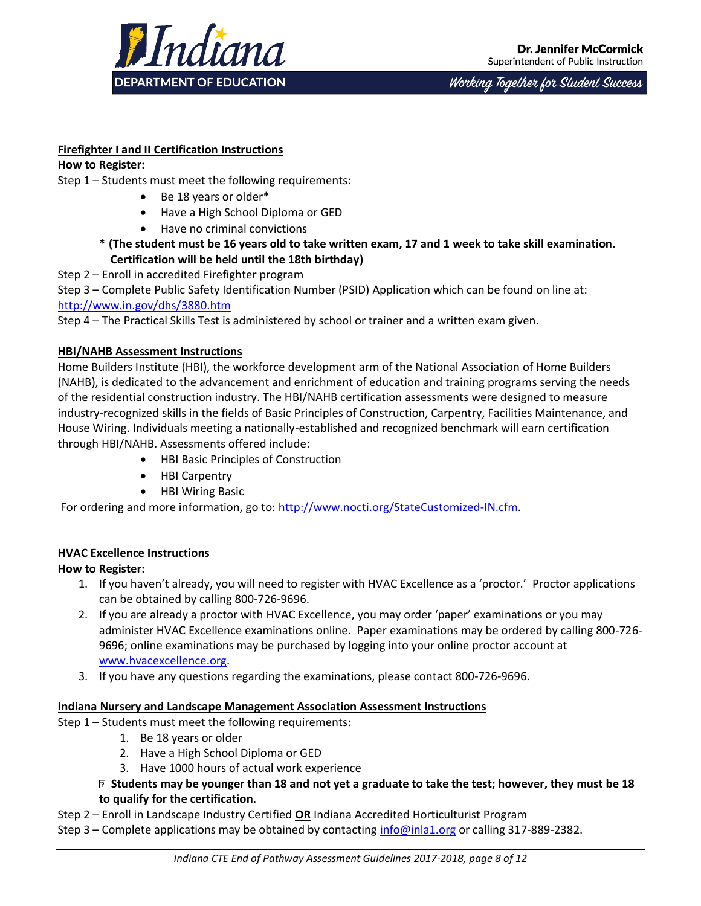

#### **Firefighter I and II Certification Instructions**

### **How to Register:**

Step 1 – Students must meet the following requirements:

- Be 18 years or older\*
- Have a High School Diploma or GED
- Have no criminal convictions
- **\* (The student must be 16 years old to take written exam, 17 and 1 week to take skill examination. Certification will be held until the 18th birthday)**
- Step 2 Enroll in accredited Firefighter program

Step 3 – Complete Public Safety Identification Number (PSID) Application which can be found on line at: <http://www.in.gov/dhs/3880.htm>

Step 4 – The Practical Skills Test is administered by school or trainer and a written exam given.

### **HBI/NAHB Assessment Instructions**

Home Builders Institute (HBI), the workforce development arm of the National Association of Home Builders (NAHB), is dedicated to the advancement and enrichment of education and training programs serving the needs of the residential construction industry. The HBI/NAHB certification assessments were designed to measure industry-recognized skills in the fields of Basic Principles of Construction, Carpentry, Facilities Maintenance, and House Wiring. Individuals meeting a nationally-established and recognized benchmark will earn certification through HBI/NAHB. Assessments offered include:

- HBI Basic Principles of Construction
- HBI Carpentry
- HBI Wiring Basic

For ordering and more information, go to: [http://www.nocti.org/StateCustomized-IN.cfm.](http://www.nocti.org/StateCustomized-IN.cfm)

#### **HVAC Excellence Instructions**

#### **How to Register:**

- 1. If you haven't already, you will need to register with HVAC Excellence as a 'proctor.' Proctor applications can be obtained by calling 800-726-9696.
- 2. If you are already a proctor with HVAC Excellence, you may order 'paper' examinations or you may administer HVAC Excellence examinations online. Paper examinations may be ordered by calling 800-726- 9696; online examinations may be purchased by logging into your online proctor account at [www.hvacexcellence.org.](http://www.hvacexcellence.org/)
- 3. If you have any questions regarding the examinations, please contact 800-726-9696.

#### **Indiana Nursery and Landscape Management Association Assessment Instructions**

- Step 1 Students must meet the following requirements:
	- 1. Be 18 years or older
	- 2. Have a High School Diploma or GED
	- 3. Have 1000 hours of actual work experience

# **Students may be younger than 18 and not yet a graduate to take the test; however, they must be 18 to qualify for the certification.**

- Step 2 Enroll in Landscape Industry Certified **OR** Indiana Accredited Horticulturist Program
- Step 3 Complete applications may be obtained by contactin[g info@inla1.org](mailto:info@inla1.org) or calling 317-889-2382.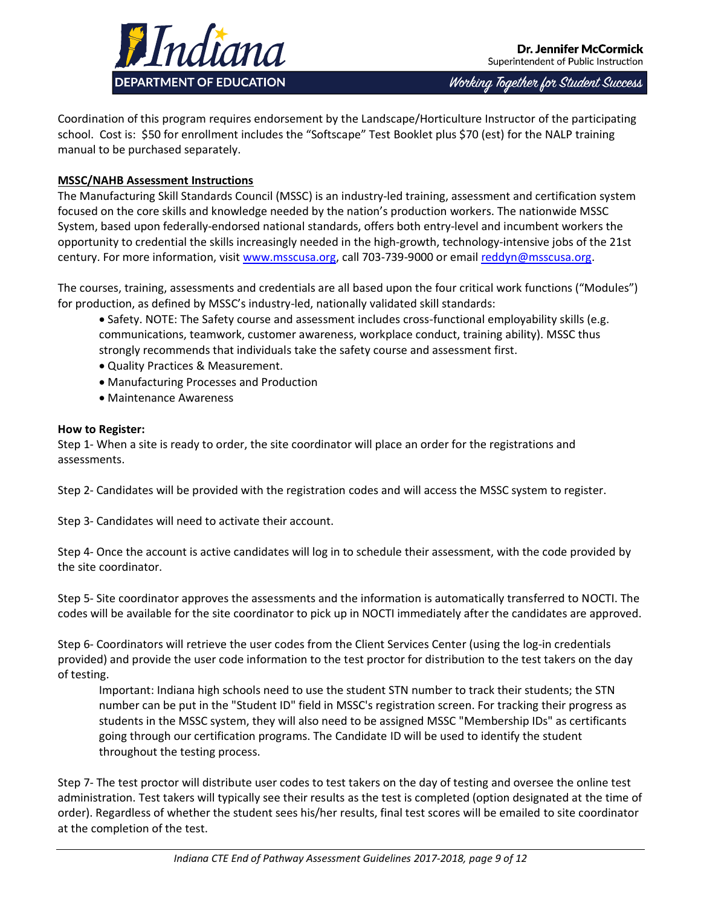

Coordination of this program requires endorsement by the Landscape/Horticulture Instructor of the participating school. Cost is: \$50 for enrollment includes the "Softscape" Test Booklet plus \$70 (est) for the NALP training manual to be purchased separately.

#### **MSSC/NAHB Assessment Instructions**

The Manufacturing Skill Standards Council (MSSC) is an industry‐led training, assessment and certification system focused on the core skills and knowledge needed by the nation's production workers. The nationwide MSSC System, based upon federally‐endorsed national standards, offers both entry‐level and incumbent workers the opportunity to credential the skills increasingly needed in the high‐growth, technology‐intensive jobs of the 21st century. For more information, visit [www.msscusa.org](http://www.msscusa.org/), call 703-739-9000 or email [reddyn@msscusa.org.](mailto:reddyn@msscusa.org)

The courses, training, assessments and credentials are all based upon the four critical work functions ("Modules") for production, as defined by MSSC's industry-led, nationally validated skill standards:

• Safety. NOTE: The Safety course and assessment includes cross-functional employability skills (e.g. communications, teamwork, customer awareness, workplace conduct, training ability). MSSC thus strongly recommends that individuals take the safety course and assessment first.

- Quality Practices & Measurement.
- Manufacturing Processes and Production
- Maintenance Awareness

#### **How to Register:**

Step 1- When a site is ready to order, the site coordinator will place an order for the registrations and assessments.

Step 2- Candidates will be provided with the registration codes and will access the MSSC system to register.

Step 3- Candidates will need to activate their account.

Step 4- Once the account is active candidates will log in to schedule their assessment, with the code provided by the site coordinator.

Step 5- Site coordinator approves the assessments and the information is automatically transferred to NOCTI. The codes will be available for the site coordinator to pick up in NOCTI immediately after the candidates are approved.

Step 6- Coordinators will retrieve the user codes from the Client Services Center (using the log-in credentials provided) and provide the user code information to the test proctor for distribution to the test takers on the day of testing.

Important: Indiana high schools need to use the student STN number to track their students; the STN number can be put in the "Student ID" field in MSSC's registration screen. For tracking their progress as students in the MSSC system, they will also need to be assigned MSSC "Membership IDs" as certificants going through our certification programs. The Candidate ID will be used to identify the student throughout the testing process.

Step 7- The test proctor will distribute user codes to test takers on the day of testing and oversee the online test administration. Test takers will typically see their results as the test is completed (option designated at the time of order). Regardless of whether the student sees his/her results, final test scores will be emailed to site coordinator at the completion of the test.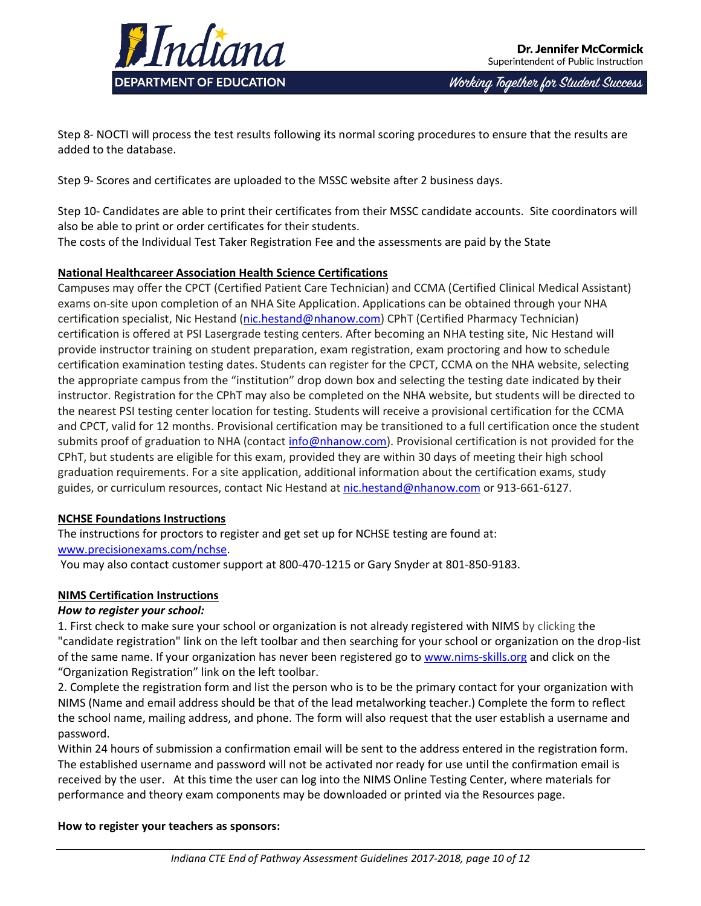

Step 8- NOCTI will process the test results following its normal scoring procedures to ensure that the results are added to the database.

Step 9- Scores and certificates are uploaded to the MSSC website after 2 business days.

Step 10- Candidates are able to print their certificates from their MSSC candidate accounts. Site coordinators will also be able to print or order certificates for their students.

The costs of the Individual Test Taker Registration Fee and the assessments are paid by the State

#### **National Healthcareer Association Health Science Certifications**

Campuses may offer the CPCT (Certified Patient Care Technician) and CCMA (Certified Clinical Medical Assistant) exams on-site upon completion of an NHA Site Application. Applications can be obtained through your NHA certification specialist, Nic Hestand [\(nic.hestand@nhanow.com\)](mailto:nic.hestand@nhanow.com) CPhT (Certified Pharmacy Technician) certification is offered at PSI Lasergrade testing centers. After becoming an NHA testing site, Nic Hestand will provide instructor training on student preparation, exam registration, exam proctoring and how to schedule certification examination testing dates. Students can register for the CPCT, CCMA on the NHA website, selecting the appropriate campus from the "institution" drop down box and selecting the testing date indicated by their instructor. Registration for the CPhT may also be completed on the NHA website, but students will be directed to the nearest PSI testing center location for testing. Students will receive a provisional certification for the CCMA and CPCT, valid for 12 months. Provisional certification may be transitioned to a full certification once the student submits proof of graduation to NHA (contact [info@nhanow.com\)](mailto:info@nhanow.com). Provisional certification is not provided for the CPhT, but students are eligible for this exam, provided they are within 30 days of meeting their high school graduation requirements. For a site application, additional information about the certification exams, study guides, or curriculum resources, contact Nic Hestand at [nic.hestand@nhanow.com](mailto:nic.hestand@nhanow.com) or 913-661-6127.

#### **NCHSE Foundations Instructions**

The instructions for proctors to register and get set up for NCHSE testing are found at: [www.precisionexams.com/nchse.](http://www.precisionexams.com/nchse)

You may also contact customer support at 800-470-1215 or Gary Snyder at 801-850-9183.

#### **NIMS Certification Instructions**

#### *How to register your school:*

1. First check to make sure your school or organization is not already registered with NIMS by clicking the "candidate registration" link on the left toolbar and then searching for your school or organization on the drop-list of the same name. If your organization has never been registered go t[o www.nims-skills.org](http://www.nims-skills.org/) and click on the "Organization Registration" link on the left toolbar.

2. Complete the registration form and list the person who is to be the primary contact for your organization with NIMS (Name and email address should be that of the lead metalworking teacher.) Complete the form to reflect the school name, mailing address, and phone. The form will also request that the user establish a username and password.

Within 24 hours of submission a confirmation email will be sent to the address entered in the registration form. The established username and password will not be activated nor ready for use until the confirmation email is received by the user. At this time the user can log into the NIMS Online Testing Center, where materials for performance and theory exam components may be downloaded or printed via the Resources page.

#### **How to register your teachers as sponsors:**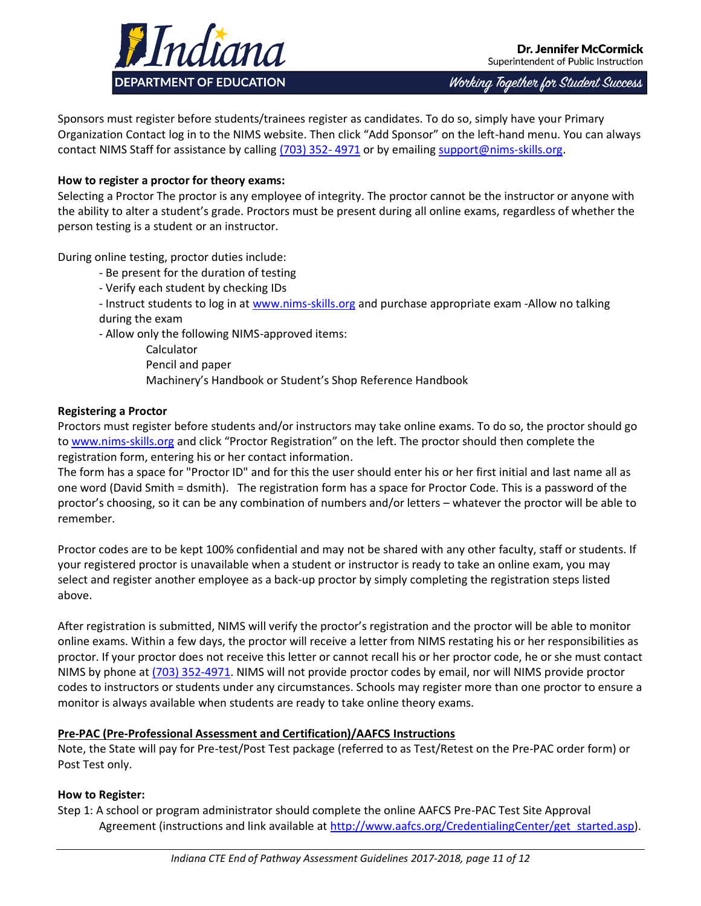

Sponsors must register before students/trainees register as candidates. To do so, simply have your Primary Organization Contact log in to the NIMS website. Then click "Add Sponsor" on the left-hand menu. You can always contact NIMS Staff for assistance by calling [\(703\) 352-](tel:%28703%29%20352-%204971) 4971 or by emailing [support@nims-skills.org.](mailto:support@nims-skills.org)

#### **How to register a proctor for theory exams:**

Selecting a Proctor The proctor is any employee of integrity. The proctor cannot be the instructor or anyone with the ability to alter a student's grade. Proctors must be present during all online exams, regardless of whether the person testing is a student or an instructor.

During online testing, proctor duties include:

- Be present for the duration of testing
- Verify each student by checking IDs
- Instruct students to log in a[t www.nims-skills.org](http://www.nims-skills.org/) and purchase appropriate exam -Allow no talking during the exam
- Allow only the following NIMS-approved items:
	- Calculator
	- Pencil and paper
	- Machinery's Handbook or Student's Shop Reference Handbook

#### **Registering a Proctor**

Proctors must register before students and/or instructors may take online exams. To do so, the proctor should go t[o www.nims-skills.org](http://www.nims-skills.org/) and click "Proctor Registration" on the left. The proctor should then complete the registration form, entering his or her contact information.

The form has a space for "Proctor ID" and for this the user should enter his or her first initial and last name all as one word (David Smith = dsmith). The registration form has a space for Proctor Code. This is a password of the proctor's choosing, so it can be any combination of numbers and/or letters – whatever the proctor will be able to remember.

Proctor codes are to be kept 100% confidential and may not be shared with any other faculty, staff or students. If your registered proctor is unavailable when a student or instructor is ready to take an online exam, you may select and register another employee as a back-up proctor by simply completing the registration steps listed above.

After registration is submitted, NIMS will verify the proctor's registration and the proctor will be able to monitor online exams. Within a few days, the proctor will receive a letter from NIMS restating his or her responsibilities as proctor. If your proctor does not receive this letter or cannot recall his or her proctor code, he or she must contact NIMS by phone at [\(703\) 352-4971.](tel:%28703%29%20352-4971) NIMS will not provide proctor codes by email, nor will NIMS provide proctor codes to instructors or students under any circumstances. Schools may register more than one proctor to ensure a monitor is always available when students are ready to take online theory exams.

#### **Pre-PAC (Pre-Professional Assessment and Certification)/AAFCS Instructions**

Note, the State will pay for Pre-test/Post Test package (referred to as Test/Retest on the Pre-PAC order form) or Post Test only.

#### **How to Register:**

Step 1: A school or program administrator should complete the online AAFCS Pre-PAC Test Site Approval Agreement (instructions and link available at [http://www.aafcs.org/CredentialingCenter/get\\_started.asp\)](http://www.aafcs.org/CredentialingCenter/get_started.asp).